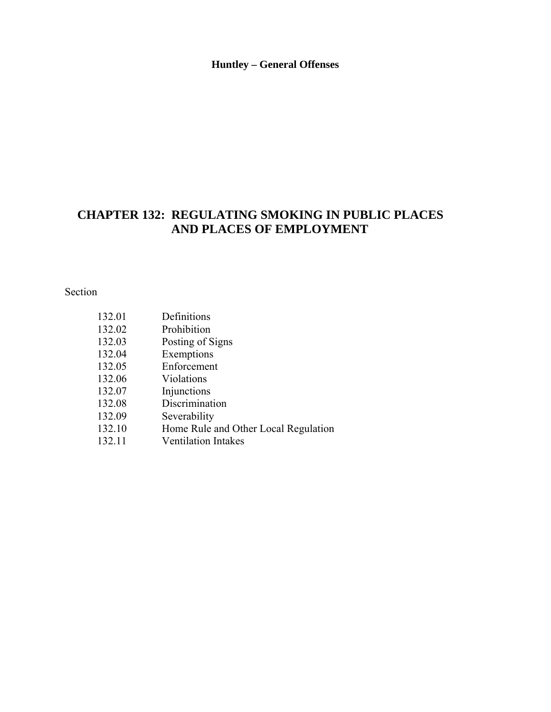#### **Huntley – General Offenses**

# **CHAPTER 132: REGULATING SMOKING IN PUBLIC PLACES AND PLACES OF EMPLOYMENT**

Section

| 132.01 | Definitions                          |
|--------|--------------------------------------|
| 132.02 | Prohibition                          |
| 132.03 | Posting of Signs                     |
| 132.04 | Exemptions                           |
| 132.05 | Enforcement                          |
| 132.06 | Violations                           |
| 132.07 | Injunctions                          |
| 132.08 | Discrimination                       |
| 132.09 | Severability                         |
| 132.10 | Home Rule and Other Local Regulation |
| 132.11 | <b>Ventilation Intakes</b>           |
|        |                                      |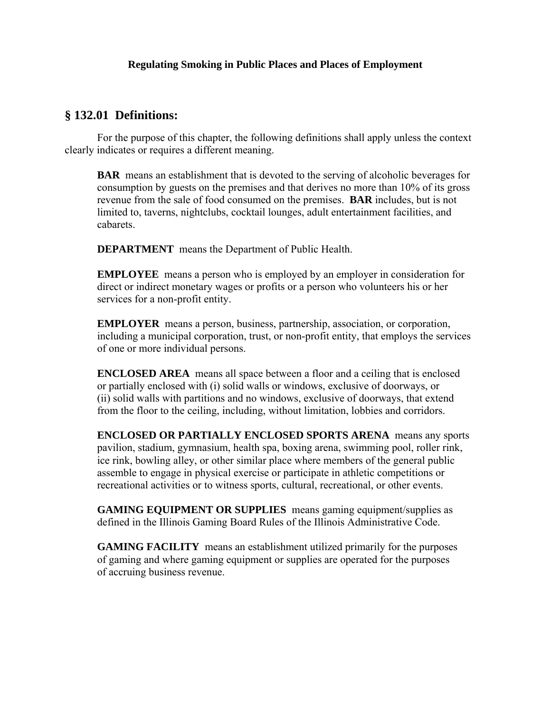#### **§ 132.01 Definitions:**

 For the purpose of this chapter, the following definitions shall apply unless the context clearly indicates or requires a different meaning.

**BAR** means an establishment that is devoted to the serving of alcoholic beverages for consumption by guests on the premises and that derives no more than 10% of its gross revenue from the sale of food consumed on the premises. **BAR** includes, but is not limited to, taverns, nightclubs, cocktail lounges, adult entertainment facilities, and cabarets.

**DEPARTMENT** means the Department of Public Health.

**EMPLOYEE** means a person who is employed by an employer in consideration for direct or indirect monetary wages or profits or a person who volunteers his or her services for a non-profit entity.

**EMPLOYER** means a person, business, partnership, association, or corporation, including a municipal corporation, trust, or non-profit entity, that employs the services of one or more individual persons.

**ENCLOSED AREA** means all space between a floor and a ceiling that is enclosed or partially enclosed with (i) solid walls or windows, exclusive of doorways, or (ii) solid walls with partitions and no windows, exclusive of doorways, that extend from the floor to the ceiling, including, without limitation, lobbies and corridors.

**ENCLOSED OR PARTIALLY ENCLOSED SPORTS ARENA** means any sports pavilion, stadium, gymnasium, health spa, boxing arena, swimming pool, roller rink, ice rink, bowling alley, or other similar place where members of the general public assemble to engage in physical exercise or participate in athletic competitions or recreational activities or to witness sports, cultural, recreational, or other events.

**GAMING EQUIPMENT OR SUPPLIES** means gaming equipment/supplies as defined in the Illinois Gaming Board Rules of the Illinois Administrative Code.

**GAMING FACILITY** means an establishment utilized primarily for the purposes of gaming and where gaming equipment or supplies are operated for the purposes of accruing business revenue.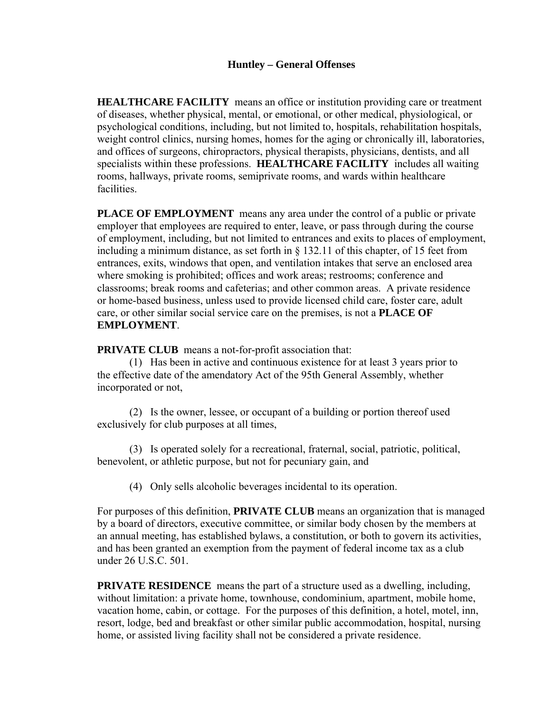**HEALTHCARE FACILITY** means an office or institution providing care or treatment of diseases, whether physical, mental, or emotional, or other medical, physiological, or psychological conditions, including, but not limited to, hospitals, rehabilitation hospitals, weight control clinics, nursing homes, homes for the aging or chronically ill, laboratories, and offices of surgeons, chiropractors, physical therapists, physicians, dentists, and all specialists within these professions. **HEALTHCARE FACILITY** includes all waiting rooms, hallways, private rooms, semiprivate rooms, and wards within healthcare facilities.

**PLACE OF EMPLOYMENT** means any area under the control of a public or private employer that employees are required to enter, leave, or pass through during the course of employment, including, but not limited to entrances and exits to places of employment, including a minimum distance, as set forth in § 132.11 of this chapter, of 15 feet from entrances, exits, windows that open, and ventilation intakes that serve an enclosed area where smoking is prohibited; offices and work areas; restrooms; conference and classrooms; break rooms and cafeterias; and other common areas. A private residence or home-based business, unless used to provide licensed child care, foster care, adult care, or other similar social service care on the premises, is not a **PLACE OF EMPLOYMENT**.

**PRIVATE CLUB** means a not-for-profit association that:

(1) Has been in active and continuous existence for at least 3 years prior to the effective date of the amendatory Act of the 95th General Assembly, whether incorporated or not,

 (2) Is the owner, lessee, or occupant of a building or portion thereof used exclusively for club purposes at all times,

 (3) Is operated solely for a recreational, fraternal, social, patriotic, political, benevolent, or athletic purpose, but not for pecuniary gain, and

(4) Only sells alcoholic beverages incidental to its operation.

For purposes of this definition, **PRIVATE CLUB** means an organization that is managed by a board of directors, executive committee, or similar body chosen by the members at an annual meeting, has established bylaws, a constitution, or both to govern its activities, and has been granted an exemption from the payment of federal income tax as a club under 26 U.S.C. 501.

**PRIVATE RESIDENCE** means the part of a structure used as a dwelling, including, without limitation: a private home, townhouse, condominium, apartment, mobile home, vacation home, cabin, or cottage. For the purposes of this definition, a hotel, motel, inn, resort, lodge, bed and breakfast or other similar public accommodation, hospital, nursing home, or assisted living facility shall not be considered a private residence.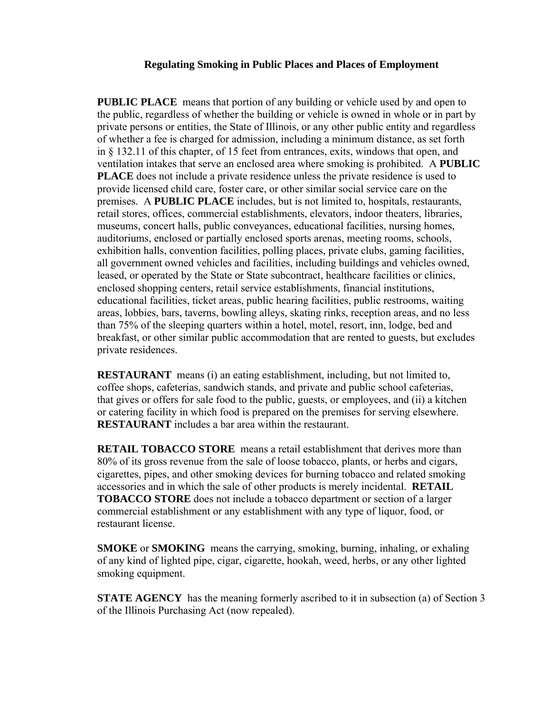**PUBLIC PLACE** means that portion of any building or vehicle used by and open to the public, regardless of whether the building or vehicle is owned in whole or in part by private persons or entities, the State of Illinois, or any other public entity and regardless of whether a fee is charged for admission, including a minimum distance, as set forth in § 132.11 of this chapter, of 15 feet from entrances, exits, windows that open, and ventilation intakes that serve an enclosed area where smoking is prohibited. A **PUBLIC PLACE** does not include a private residence unless the private residence is used to provide licensed child care, foster care, or other similar social service care on the premises. A **PUBLIC PLACE** includes, but is not limited to, hospitals, restaurants, retail stores, offices, commercial establishments, elevators, indoor theaters, libraries, museums, concert halls, public conveyances, educational facilities, nursing homes, auditoriums, enclosed or partially enclosed sports arenas, meeting rooms, schools, exhibition halls, convention facilities, polling places, private clubs, gaming facilities, all government owned vehicles and facilities, including buildings and vehicles owned, leased, or operated by the State or State subcontract, healthcare facilities or clinics, enclosed shopping centers, retail service establishments, financial institutions, educational facilities, ticket areas, public hearing facilities, public restrooms, waiting areas, lobbies, bars, taverns, bowling alleys, skating rinks, reception areas, and no less than 75% of the sleeping quarters within a hotel, motel, resort, inn, lodge, bed and breakfast, or other similar public accommodation that are rented to guests, but excludes private residences.

**RESTAURANT** means (i) an eating establishment, including, but not limited to, coffee shops, cafeterias, sandwich stands, and private and public school cafeterias, that gives or offers for sale food to the public, guests, or employees, and (ii) a kitchen or catering facility in which food is prepared on the premises for serving elsewhere. **RESTAURANT** includes a bar area within the restaurant.

**RETAIL TOBACCO STORE** means a retail establishment that derives more than 80% of its gross revenue from the sale of loose tobacco, plants, or herbs and cigars, cigarettes, pipes, and other smoking devices for burning tobacco and related smoking accessories and in which the sale of other products is merely incidental. **RETAIL TOBACCO STORE** does not include a tobacco department or section of a larger commercial establishment or any establishment with any type of liquor, food, or restaurant license.

**SMOKE** or **SMOKING** means the carrying, smoking, burning, inhaling, or exhaling of any kind of lighted pipe, cigar, cigarette, hookah, weed, herbs, or any other lighted smoking equipment.

**STATE AGENCY** has the meaning formerly ascribed to it in subsection (a) of Section 3 of the Illinois Purchasing Act (now repealed).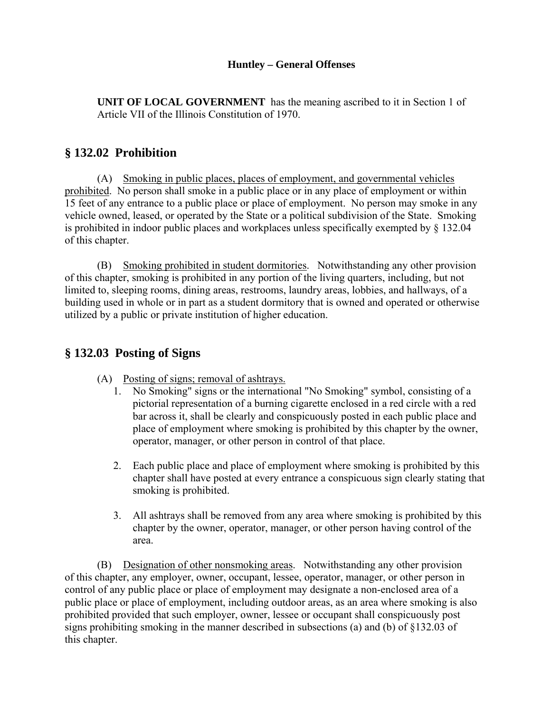#### **Huntley – General Offenses**

**UNIT OF LOCAL GOVERNMENT** has the meaning ascribed to it in Section 1 of Article VII of the Illinois Constitution of 1970.

## **§ 132.02 Prohibition**

(A) Smoking in public places, places of employment, and governmental vehicles prohibited. No person shall smoke in a public place or in any place of employment or within 15 feet of any entrance to a public place or place of employment. No person may smoke in any vehicle owned, leased, or operated by the State or a political subdivision of the State. Smoking is prohibited in indoor public places and workplaces unless specifically exempted by § 132.04 of this chapter.

(B) Smoking prohibited in student dormitories. Notwithstanding any other provision of this chapter, smoking is prohibited in any portion of the living quarters, including, but not limited to, sleeping rooms, dining areas, restrooms, laundry areas, lobbies, and hallways, of a building used in whole or in part as a student dormitory that is owned and operated or otherwise utilized by a public or private institution of higher education.

### **§ 132.03 Posting of Signs**

- (A) Posting of signs; removal of ashtrays.
	- 1. No Smoking" signs or the international "No Smoking" symbol, consisting of a pictorial representation of a burning cigarette enclosed in a red circle with a red bar across it, shall be clearly and conspicuously posted in each public place and place of employment where smoking is prohibited by this chapter by the owner, operator, manager, or other person in control of that place.
	- 2. Each public place and place of employment where smoking is prohibited by this chapter shall have posted at every entrance a conspicuous sign clearly stating that smoking is prohibited.
	- 3. All ashtrays shall be removed from any area where smoking is prohibited by this chapter by the owner, operator, manager, or other person having control of the area.

(B) Designation of other nonsmoking areas. Notwithstanding any other provision of this chapter, any employer, owner, occupant, lessee, operator, manager, or other person in control of any public place or place of employment may designate a non-enclosed area of a public place or place of employment, including outdoor areas, as an area where smoking is also prohibited provided that such employer, owner, lessee or occupant shall conspicuously post signs prohibiting smoking in the manner described in subsections (a) and (b) of §132.03 of this chapter.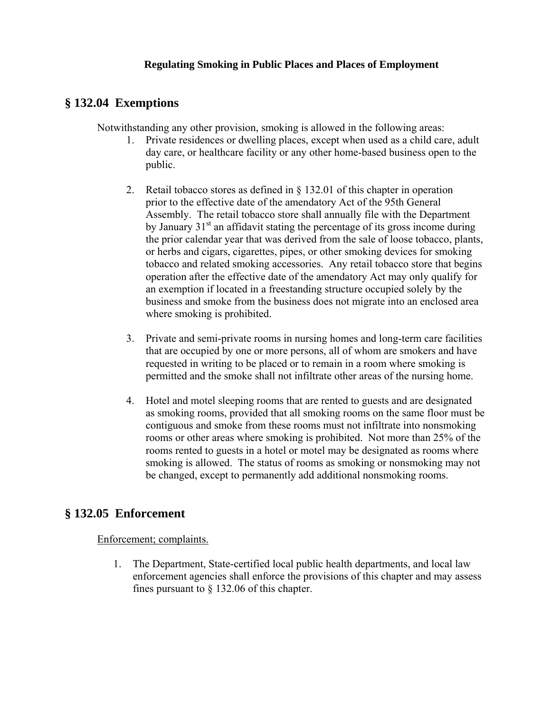### **§ 132.04 Exemptions**

Notwithstanding any other provision, smoking is allowed in the following areas:

- 1. Private residences or dwelling places, except when used as a child care, adult day care, or healthcare facility or any other home-based business open to the public.
- 2. Retail tobacco stores as defined in § 132.01 of this chapter in operation prior to the effective date of the amendatory Act of the 95th General Assembly. The retail tobacco store shall annually file with the Department by January  $31<sup>st</sup>$  an affidavit stating the percentage of its gross income during the prior calendar year that was derived from the sale of loose tobacco, plants, or herbs and cigars, cigarettes, pipes, or other smoking devices for smoking tobacco and related smoking accessories. Any retail tobacco store that begins operation after the effective date of the amendatory Act may only qualify for an exemption if located in a freestanding structure occupied solely by the business and smoke from the business does not migrate into an enclosed area where smoking is prohibited.
- 3. Private and semi-private rooms in nursing homes and long-term care facilities that are occupied by one or more persons, all of whom are smokers and have requested in writing to be placed or to remain in a room where smoking is permitted and the smoke shall not infiltrate other areas of the nursing home.
- 4. Hotel and motel sleeping rooms that are rented to guests and are designated as smoking rooms, provided that all smoking rooms on the same floor must be contiguous and smoke from these rooms must not infiltrate into nonsmoking rooms or other areas where smoking is prohibited. Not more than 25% of the rooms rented to guests in a hotel or motel may be designated as rooms where smoking is allowed. The status of rooms as smoking or nonsmoking may not be changed, except to permanently add additional nonsmoking rooms.

## **§ 132.05 Enforcement**

#### Enforcement; complaints.

1. The Department, State-certified local public health departments, and local law enforcement agencies shall enforce the provisions of this chapter and may assess fines pursuant to § 132.06 of this chapter.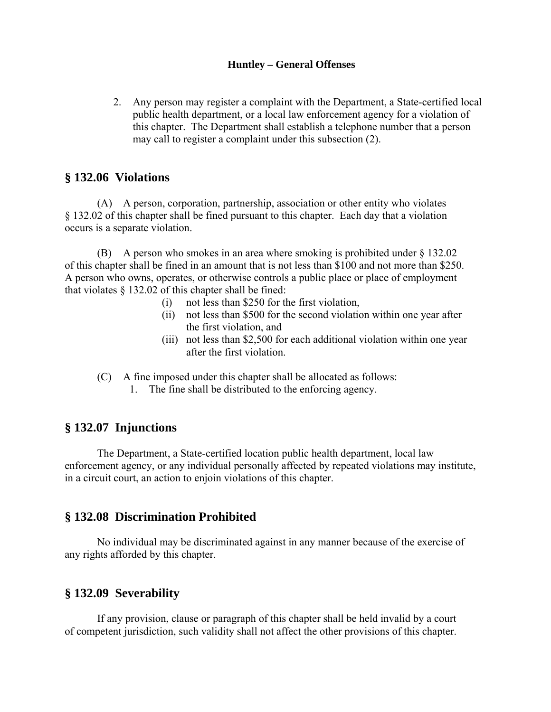#### **Huntley – General Offenses**

2. Any person may register a complaint with the Department, a State-certified local public health department, or a local law enforcement agency for a violation of this chapter. The Department shall establish a telephone number that a person may call to register a complaint under this subsection (2).

### **§ 132.06 Violations**

(A) A person, corporation, partnership, association or other entity who violates § 132.02 of this chapter shall be fined pursuant to this chapter. Each day that a violation occurs is a separate violation.

(B) A person who smokes in an area where smoking is prohibited under § 132.02 of this chapter shall be fined in an amount that is not less than \$100 and not more than \$250. A person who owns, operates, or otherwise controls a public place or place of employment that violates § 132.02 of this chapter shall be fined:

- (i) not less than \$250 for the first violation,
- (ii) not less than \$500 for the second violation within one year after the first violation, and
- (iii) not less than \$2,500 for each additional violation within one year after the first violation.
- (C) A fine imposed under this chapter shall be allocated as follows:
	- 1. The fine shall be distributed to the enforcing agency.

## **§ 132.07 Injunctions**

 The Department, a State-certified location public health department, local law enforcement agency, or any individual personally affected by repeated violations may institute, in a circuit court, an action to enjoin violations of this chapter.

## **§ 132.08 Discrimination Prohibited**

 No individual may be discriminated against in any manner because of the exercise of any rights afforded by this chapter.

## **§ 132.09 Severability**

 If any provision, clause or paragraph of this chapter shall be held invalid by a court of competent jurisdiction, such validity shall not affect the other provisions of this chapter.